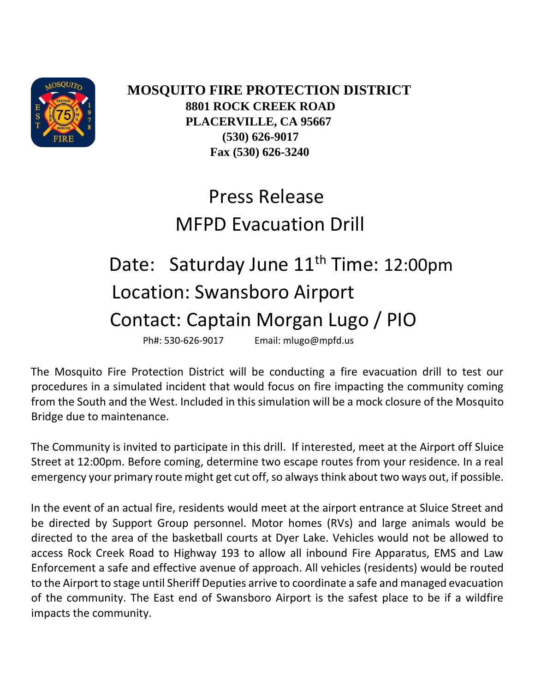

 **MOSQUITO FIRE PROTECTION DISTRICT 8801 ROCK CREEK ROAD PLACERVILLE, CA 95667 (530) 626-9017 Fax (530) 626-3240**

## Press Release MFPD Evacuation Drill

## Date: Saturday June 11<sup>th</sup> Time: 12:00pm Location: Swansboro Airport Contact: Captain Morgan Lugo / PIO

Ph#: 530-626-9017 Email: mlugo@mpfd.us

The Mosquito Fire Protection District will be conducting a fire evacuation drill to test our procedures in a simulated incident that would focus on fire impacting the community coming from the South and the West. Included in this simulation will be a mock closure of the Mosquito Bridge due to maintenance.

The Community is invited to participate in this drill. If interested, meet at the Airport off Sluice Street at 12:00pm. Before coming, determine two escape routes from your residence. In a real emergency your primary route might get cut off, so always think about two ways out, if possible.

In the event of an actual fire, residents would meet at the airport entrance at Sluice Street and be directed by Support Group personnel. Motor homes (RVs) and large animals would be directed to the area of the basketball courts at Dyer Lake. Vehicles would not be allowed to access Rock Creek Road to Highway 193 to allow all inbound Fire Apparatus, EMS and Law Enforcement a safe and effective avenue of approach. All vehicles (residents) would be routed to the Airport to stage until Sheriff Deputies arrive to coordinate a safe and managed evacuation of the community. The East end of Swansboro Airport is the safest place to be if a wildfire impacts the community.